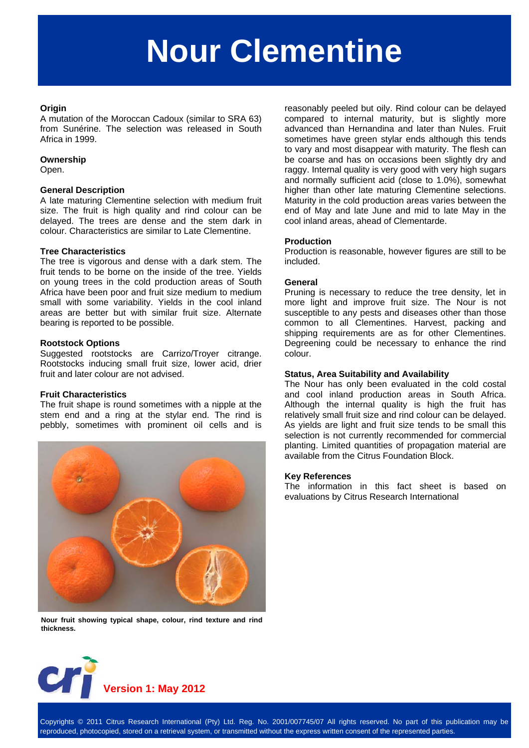# **Nour Clementine**

#### **Origin**

A mutation of the Moroccan Cadoux (similar to SRA 63) from Sunérine. The selection was released in South Africa in 1999.

#### **Ownership**

Open.

# **General Description**

A late maturing Clementine selection with medium fruit size. The fruit is high quality and rind colour can be delayed. The trees are dense and the stem dark in colour. Characteristics are similar to Late Clementine.

#### **Tree Characteristics**

The tree is vigorous and dense with a dark stem. The fruit tends to be borne on the inside of the tree. Yields on young trees in the cold production areas of South Africa have been poor and fruit size medium to medium small with some variability. Yields in the cool inland areas are better but with similar fruit size. Alternate bearing is reported to be possible.

# **Rootstock Options**

Suggested rootstocks are Carrizo/Troyer citrange. Rootstocks inducing small fruit size, lower acid, drier fruit and later colour are not advised.

#### **Fruit Characteristics**

The fruit shape is round sometimes with a nipple at the stem end and a ring at the stylar end. The rind is pebbly, sometimes with prominent oil cells and is



**Nour fruit showing typical shape, colour, rind texture and rind thickness.** 

reasonably peeled but oily. Rind colour can be delayed compared to internal maturity, but is slightly more advanced than Hernandina and later than Nules. Fruit sometimes have green stylar ends although this tends to vary and most disappear with maturity. The flesh can be coarse and has on occasions been slightly dry and raggy. Internal quality is very good with very high sugars and normally sufficient acid (close to 1.0%), somewhat higher than other late maturing Clementine selections. Maturity in the cold production areas varies between the end of May and late June and mid to late May in the cool inland areas, ahead of Clementarde.

#### **Production**

Production is reasonable, however figures are still to be included.

#### **General**

Pruning is necessary to reduce the tree density, let in more light and improve fruit size. The Nour is not susceptible to any pests and diseases other than those common to all Clementines. Harvest, packing and shipping requirements are as for other Clementines. Degreening could be necessary to enhance the rind colour.

#### **Status, Area Suitability and Availability**

The Nour has only been evaluated in the cold costal and cool inland production areas in South Africa. Although the internal quality is high the fruit has relatively small fruit size and rind colour can be delayed. As yields are light and fruit size tends to be small this selection is not currently recommended for commercial planting. Limited quantities of propagation material are available from the Citrus Foundation Block.

#### **Key References**

The information in this fact sheet is based on evaluations by Citrus Research International



Copyrights © 2011 Citrus Research International (Pty) Ltd. Reg. No. 2001/007745/07 All rights reserved. No part of this publication may be reproduced, photocopied, stored on a retrieval system, or transmitted without the express written consent of the represented parties.